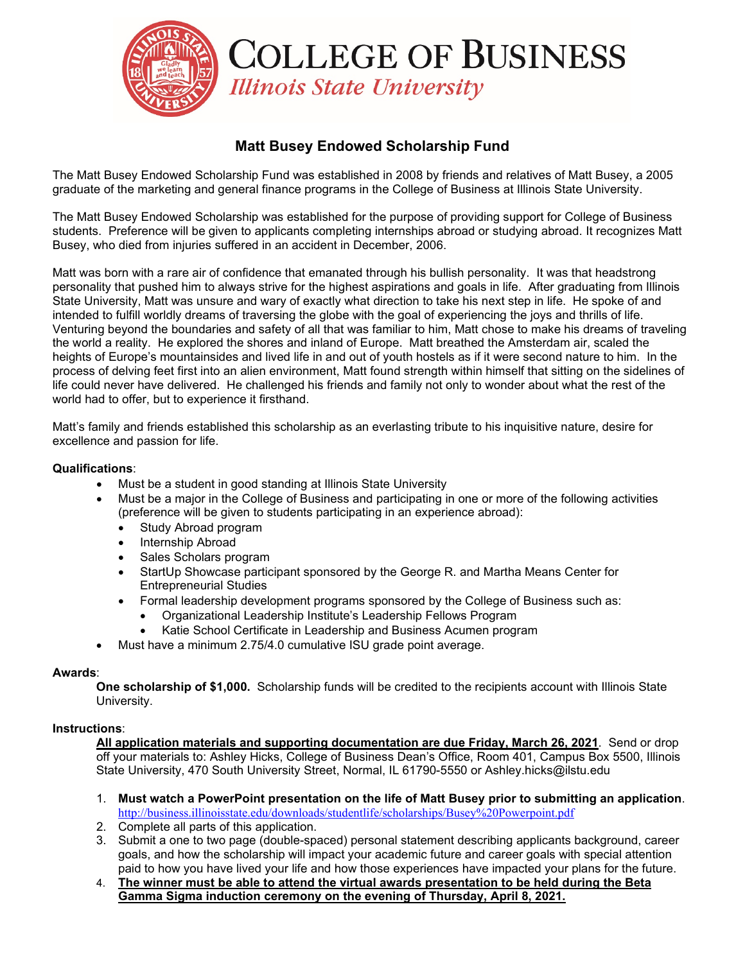

# **Matt Busey Endowed Scholarship Fund**

The Matt Busey Endowed Scholarship Fund was established in 2008 by friends and relatives of Matt Busey, a 2005 graduate of the marketing and general finance programs in the College of Business at Illinois State University.

The Matt Busey Endowed Scholarship was established for the purpose of providing support for College of Business students. Preference will be given to applicants completing internships abroad or studying abroad. It recognizes Matt Busey, who died from injuries suffered in an accident in December, 2006.

Matt was born with a rare air of confidence that emanated through his bullish personality. It was that headstrong personality that pushed him to always strive for the highest aspirations and goals in life. After graduating from Illinois State University, Matt was unsure and wary of exactly what direction to take his next step in life. He spoke of and intended to fulfill worldly dreams of traversing the globe with the goal of experiencing the joys and thrills of life. Venturing beyond the boundaries and safety of all that was familiar to him, Matt chose to make his dreams of traveling the world a reality. He explored the shores and inland of Europe. Matt breathed the Amsterdam air, scaled the heights of Europe's mountainsides and lived life in and out of youth hostels as if it were second nature to him. In the process of delving feet first into an alien environment, Matt found strength within himself that sitting on the sidelines of life could never have delivered. He challenged his friends and family not only to wonder about what the rest of the world had to offer, but to experience it firsthand.

Matt's family and friends established this scholarship as an everlasting tribute to his inquisitive nature, desire for excellence and passion for life.

## **Qualifications**:

- Must be a student in good standing at Illinois State University
- Must be a major in the College of Business and participating in one or more of the following activities (preference will be given to students participating in an experience abroad):
	- Study Abroad program
	- Internship Abroad
	- Sales Scholars program
	- StartUp Showcase participant sponsored by the George R. and Martha Means Center for Entrepreneurial Studies
	- Formal leadership development programs sponsored by the College of Business such as:
		- Organizational Leadership Institute's Leadership Fellows Program
		- Katie School Certificate in Leadership and Business Acumen program
- Must have a minimum 2.75/4.0 cumulative ISU grade point average.

### **Awards**:

**One scholarship of \$1,000.** Scholarship funds will be credited to the recipients account with Illinois State University.

### **Instructions**:

**All application materials and supporting documentation are due Friday, March 26, 2021**. Send or drop off your materials to: Ashley Hicks, College of Business Dean's Office, Room 401, Campus Box 5500, Illinois State University, 470 South University Street, Normal, IL 61790-5550 or Ashley.hicks@ilstu.edu

- 1. **Must watch a PowerPoint presentation on the life of Matt Busey prior to submitting an application**. <http://business.illinoisstate.edu/downloads/studentlife/scholarships/Busey%20Powerpoint.pdf>
- 2. Complete all parts of this application.
- 3. Submit a one to two page (double-spaced) personal statement describing applicants background, career goals, and how the scholarship will impact your academic future and career goals with special attention paid to how you have lived your life and how those experiences have impacted your plans for the future.
- 4. **The winner must be able to attend the virtual awards presentation to be held during the Beta Gamma Sigma induction ceremony on the evening of Thursday, April 8, 2021.**